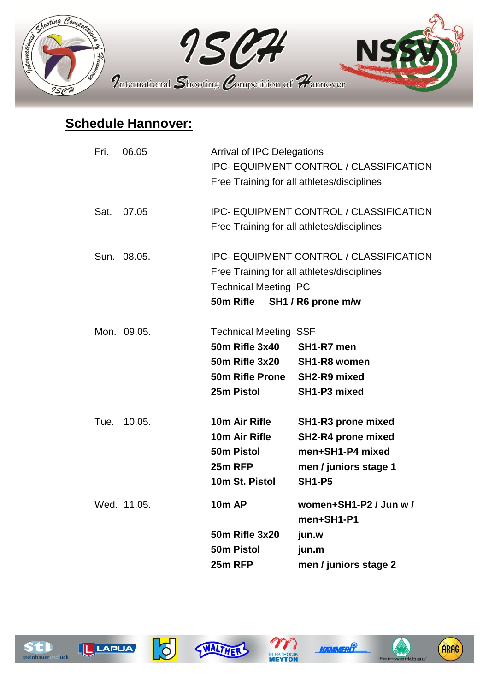

## **Schedule Hannover:**

| Fri. | 06.05       | <b>Arrival of IPC Delegations</b><br><b>IPC- EQUIPMENT CONTROL / CLASSIFICATION</b><br>Free Training for all athletes/disciplines                            |                                                                                                        |  |
|------|-------------|--------------------------------------------------------------------------------------------------------------------------------------------------------------|--------------------------------------------------------------------------------------------------------|--|
| Sat. | 07.05       | <b>IPC- EQUIPMENT CONTROL / CLASSIFICATION</b><br>Free Training for all athletes/disciplines                                                                 |                                                                                                        |  |
|      | Sun. 08.05. | <b>IPC- EQUIPMENT CONTROL / CLASSIFICATION</b><br>Free Training for all athletes/disciplines<br><b>Technical Meeting IPC</b><br>50m Rifle SH1 / R6 prone m/w |                                                                                                        |  |
|      | Mon. 09.05. | <b>Technical Meeting ISSF</b><br><b>50m Rifle 3x40</b><br><b>50m Rifle 3x20</b><br>50m Rifle Prone SH2-R9 mixed<br>25m Pistol                                | SH1-R7 men<br><b>SH1-R8 women</b><br>SH1-P3 mixed                                                      |  |
| Tue. | 10.05.      | 10m Air Rifle<br>10m Air Rifle<br>50 <sub>m</sub> Pistol<br>25m RFP<br>10m St. Pistol                                                                        | SH1-R3 prone mixed<br>SH2-R4 prone mixed<br>men+SH1-P4 mixed<br>men / juniors stage 1<br><b>SH1-P5</b> |  |
|      | Wed. 11.05. | <b>10m AP</b><br>50m Rifle 3x20<br>50m Pistol<br>25m RFP                                                                                                     | women+SH1-P2 / Jun w /<br>men+SH1-P1<br>jun.w<br>jun.m<br>men / juniors stage 2                        |  |